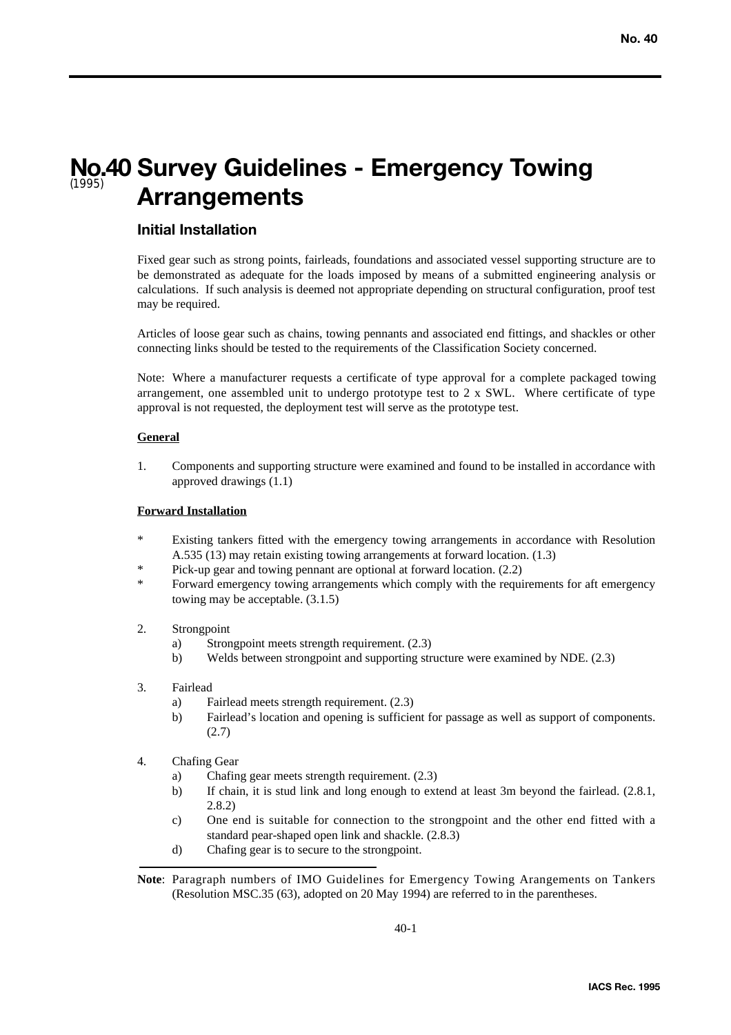# **No.40 Survey Guidelines - Emergency Towing Arrangements** (1995)

# **Initial Installation**

Fixed gear such as strong points, fairleads, foundations and associated vessel supporting structure are to be demonstrated as adequate for the loads imposed by means of a submitted engineering analysis or calculations. If such analysis is deemed not appropriate depending on structural configuration, proof test may be required.

Articles of loose gear such as chains, towing pennants and associated end fittings, and shackles or other connecting links should be tested to the requirements of the Classification Society concerned.

Note: Where a manufacturer requests a certificate of type approval for a complete packaged towing arrangement, one assembled unit to undergo prototype test to 2 x SWL. Where certificate of type approval is not requested, the deployment test will serve as the prototype test.

### **General**

1. Components and supporting structure were examined and found to be installed in accordance with approved drawings (1.1)

#### **Forward Installation**

- \* Existing tankers fitted with the emergency towing arrangements in accordance with Resolution A.535 (13) may retain existing towing arrangements at forward location. (1.3)
- \* Pick-up gear and towing pennant are optional at forward location. (2.2)
- Forward emergency towing arrangements which comply with the requirements for aft emergency towing may be acceptable. (3.1.5)
- 2. Strongpoint
	- a) Strongpoint meets strength requirement. (2.3)
	- b) Welds between strongpoint and supporting structure were examined by NDE. (2.3)
- 3. Fairlead
	- a) Fairlead meets strength requirement. (2.3)
	- b) Fairlead's location and opening is sufficient for passage as well as support of components. (2.7)
- 4. Chafing Gear
	- a) Chafing gear meets strength requirement. (2.3)
	- b) If chain, it is stud link and long enough to extend at least 3m beyond the fairlead. (2.8.1, 2.8.2)
	- c) One end is suitable for connection to the strongpoint and the other end fitted with a standard pear-shaped open link and shackle. (2.8.3)
	- d) Chafing gear is to secure to the strongpoint.

**Note**: Paragraph numbers of IMO Guidelines for Emergency Towing Arangements on Tankers (Resolution MSC.35 (63), adopted on 20 May 1994) are referred to in the parentheses.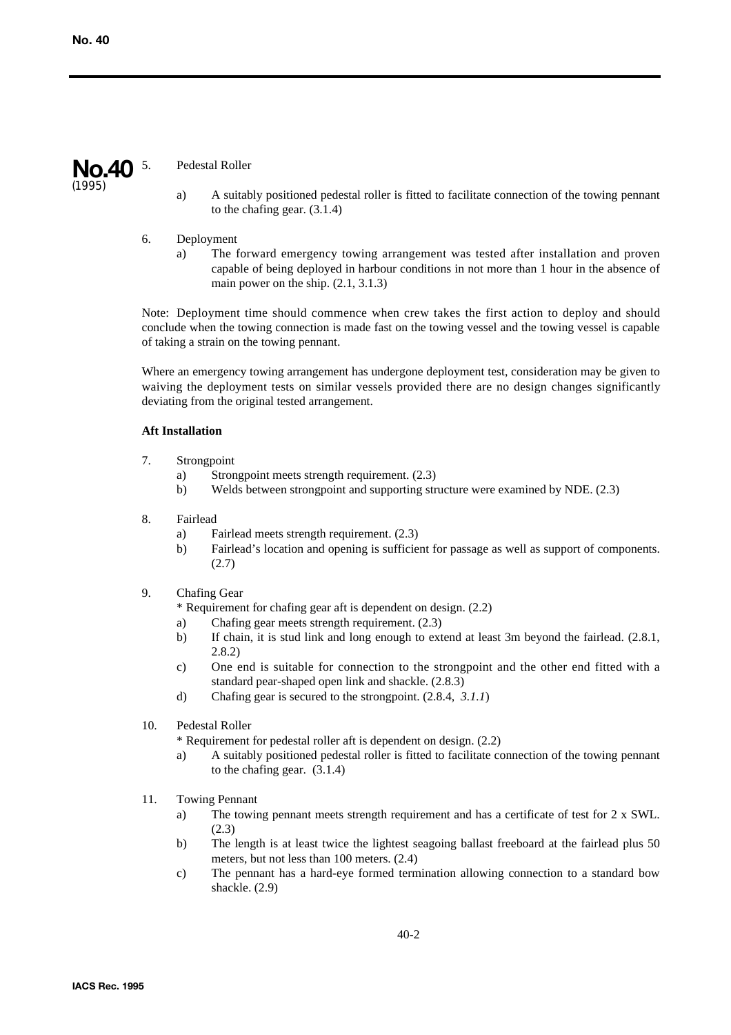

## Pedestal Roller

- a) A suitably positioned pedestal roller is fitted to facilitate connection of the towing pennant to the chafing gear. (3.1.4)
- 6. Deployment
	- a) The forward emergency towing arrangement was tested after installation and proven capable of being deployed in harbour conditions in not more than 1 hour in the absence of main power on the ship. (2.1, 3.1.3)

Note: Deployment time should commence when crew takes the first action to deploy and should conclude when the towing connection is made fast on the towing vessel and the towing vessel is capable of taking a strain on the towing pennant.

Where an emergency towing arrangement has undergone deployment test, consideration may be given to waiving the deployment tests on similar vessels provided there are no design changes significantly deviating from the original tested arrangement.

### **Aft Installation**

- 7. Strongpoint
	- a) Strongpoint meets strength requirement. (2.3)
	- b) Welds between strongpoint and supporting structure were examined by NDE. (2.3)
- 8. Fairlead
	- a) Fairlead meets strength requirement. (2.3)
	- b) Fairlead's location and opening is sufficient for passage as well as support of components. (2.7)
- 9. Chafing Gear

\* Requirement for chafing gear aft is dependent on design. (2.2)

- a) Chafing gear meets strength requirement. (2.3)
- b) If chain, it is stud link and long enough to extend at least 3m beyond the fairlead. (2.8.1, 2.8.2)
- c) One end is suitable for connection to the strongpoint and the other end fitted with a standard pear-shaped open link and shackle. (2.8.3)
- d) Chafing gear is secured to the strongpoint. (2.8.4, *3.1.1*)
- 10. Pedestal Roller

\* Requirement for pedestal roller aft is dependent on design. (2.2)

- a) A suitably positioned pedestal roller is fitted to facilitate connection of the towing pennant to the chafing gear. (3.1.4)
- 11. Towing Pennant
	- a) The towing pennant meets strength requirement and has a certificate of test for  $2 \times SWL$ . (2.3)
	- b) The length is at least twice the lightest seagoing ballast freeboard at the fairlead plus 50 meters, but not less than 100 meters. (2.4)
	- c) The pennant has a hard-eye formed termination allowing connection to a standard bow shackle. (2.9)